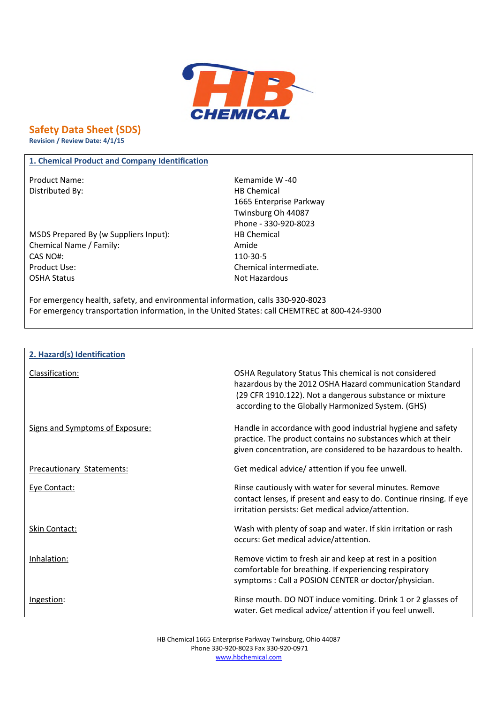

**Safety Data Sheet (SDS)**

**Revision / Review Date: 4/1/15**

## **1. Chemical Product and Company Identification**

Distributed By: Notice and Separate Separate Separate Separate Separate Separate Separate Separate Separate Separate Separate Separate Separate Separate Separate Separate Separate Separate Separate Separate Separate Separa

MSDS Prepared By (w Suppliers Input): HB Chemical Chemical Name / Family: Amide CAS NO#: 110-30-5 Product Use: Chemical intermediate. OSHA Status Not Hazardous

Product Name: Name: Example 20 and Manual 20 and Kemamide W -40 1665 Enterprise Parkway Twinsburg Oh 44087 Phone - 330-920-8023

For emergency health, safety, and environmental information, calls 330-920-8023 For emergency transportation information, in the United States: call CHEMTREC at 800-424-9300

| 2. Hazard(s) Identification      |                                                                                                                                                                                                                                     |
|----------------------------------|-------------------------------------------------------------------------------------------------------------------------------------------------------------------------------------------------------------------------------------|
| Classification:                  | OSHA Regulatory Status This chemical is not considered<br>hazardous by the 2012 OSHA Hazard communication Standard<br>(29 CFR 1910.122). Not a dangerous substance or mixture<br>according to the Globally Harmonized System. (GHS) |
| Signs and Symptoms of Exposure:  | Handle in accordance with good industrial hygiene and safety<br>practice. The product contains no substances which at their<br>given concentration, are considered to be hazardous to health.                                       |
| <b>Precautionary Statements:</b> | Get medical advice/ attention if you fee unwell.                                                                                                                                                                                    |
| Eye Contact:                     | Rinse cautiously with water for several minutes. Remove<br>contact lenses, if present and easy to do. Continue rinsing. If eye<br>irritation persists: Get medical advice/attention.                                                |
| Skin Contact:                    | Wash with plenty of soap and water. If skin irritation or rash<br>occurs: Get medical advice/attention.                                                                                                                             |
| Inhalation:                      | Remove victim to fresh air and keep at rest in a position<br>comfortable for breathing. If experiencing respiratory<br>symptoms: Call a POSION CENTER or doctor/physician.                                                          |
| Ingestion:                       | Rinse mouth. DO NOT induce vomiting. Drink 1 or 2 glasses of<br>water. Get medical advice/attention if you feel unwell.                                                                                                             |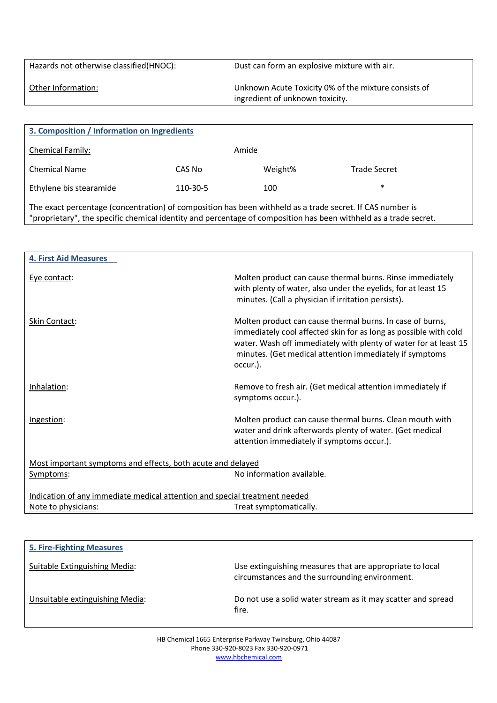Hazards not otherwise classified(HNOC): Dust can form an explosive mixture with air.

Other Information: Unknown Acute Toxicity 0% of the mixture consists of ingredient of unknown toxicity.

| 3. Composition / Information on Ingredients                                                               |          |         |                     |
|-----------------------------------------------------------------------------------------------------------|----------|---------|---------------------|
| Chemical Family:                                                                                          |          | Amide   |                     |
| <b>Chemical Name</b>                                                                                      | CAS No   | Weight% | <b>Trade Secret</b> |
| Ethylene bis stearamide                                                                                   | 110-30-5 | 100     | $\ast$              |
| The exact percentage (concentration) of composition has been withheld as a trade secret. If CAS number is |          |         |                     |

"proprietary", the specific chemical identity and percentage of composition has been withheld as a trade secret.

| <b>4. First Aid Measures</b>                                               |                                                                                                                                                                                                                                                                          |  |
|----------------------------------------------------------------------------|--------------------------------------------------------------------------------------------------------------------------------------------------------------------------------------------------------------------------------------------------------------------------|--|
| Eye contact:                                                               | Molten product can cause thermal burns. Rinse immediately<br>with plenty of water, also under the eyelids, for at least 15<br>minutes. (Call a physician if irritation persists).                                                                                        |  |
| Skin Contact:                                                              | Molten product can cause thermal burns. In case of burns,<br>immediately cool affected skin for as long as possible with cold<br>water. Wash off immediately with plenty of water for at least 15<br>minutes. (Get medical attention immediately if symptoms<br>occur.). |  |
| Inhalation:                                                                | Remove to fresh air. (Get medical attention immediately if<br>symptoms occur.).                                                                                                                                                                                          |  |
| Ingestion:                                                                 | Molten product can cause thermal burns. Clean mouth with<br>water and drink afterwards plenty of water. (Get medical<br>attention immediately if symptoms occur.).                                                                                                       |  |
| Most important symptoms and effects, both acute and delayed                |                                                                                                                                                                                                                                                                          |  |
| Symptoms:                                                                  | No information available.                                                                                                                                                                                                                                                |  |
| Indication of any immediate medical attention and special treatment needed |                                                                                                                                                                                                                                                                          |  |
| Note to physicians:                                                        | Treat symptomatically.                                                                                                                                                                                                                                                   |  |

| <b>5. Fire-Fighting Measures</b> |                                                                                                            |
|----------------------------------|------------------------------------------------------------------------------------------------------------|
| Suitable Extinguishing Media:    | Use extinguishing measures that are appropriate to local<br>circumstances and the surrounding environment. |
| Unsuitable extinguishing Media:  | Do not use a solid water stream as it may scatter and spread<br>fire.                                      |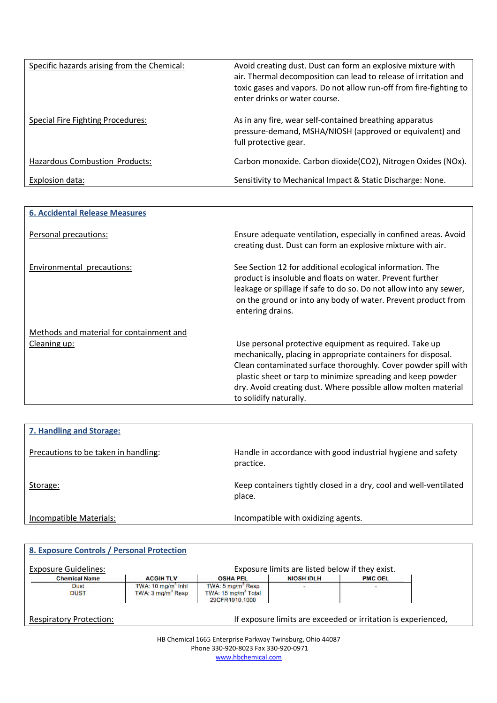| Specific hazards arising from the Chemical: | Avoid creating dust. Dust can form an explosive mixture with<br>air. Thermal decomposition can lead to release of irritation and<br>toxic gases and vapors. Do not allow run-off from fire-fighting to<br>enter drinks or water course. |
|---------------------------------------------|-----------------------------------------------------------------------------------------------------------------------------------------------------------------------------------------------------------------------------------------|
| Special Fire Fighting Procedures:           | As in any fire, wear self-contained breathing apparatus<br>pressure-demand, MSHA/NIOSH (approved or equivalent) and<br>full protective gear.                                                                                            |
| Hazardous Combustion Products:              | Carbon monoxide. Carbon dioxide(CO2), Nitrogen Oxides (NOx).                                                                                                                                                                            |
| Explosion data:                             | Sensitivity to Mechanical Impact & Static Discharge: None.                                                                                                                                                                              |

| <b>6. Accidental Release Measures</b>    |                                                                                                                                                                                                                                                                                                                                                      |
|------------------------------------------|------------------------------------------------------------------------------------------------------------------------------------------------------------------------------------------------------------------------------------------------------------------------------------------------------------------------------------------------------|
| Personal precautions:                    | Ensure adequate ventilation, especially in confined areas. Avoid<br>creating dust. Dust can form an explosive mixture with air.                                                                                                                                                                                                                      |
| Environmental precautions:               | See Section 12 for additional ecological information. The<br>product is insoluble and floats on water. Prevent further<br>leakage or spillage if safe to do so. Do not allow into any sewer,<br>on the ground or into any body of water. Prevent product from<br>entering drains.                                                                    |
| Methods and material for containment and |                                                                                                                                                                                                                                                                                                                                                      |
| Cleaning up:                             | Use personal protective equipment as required. Take up<br>mechanically, placing in appropriate containers for disposal.<br>Clean contaminated surface thoroughly. Cover powder spill with<br>plastic sheet or tarp to minimize spreading and keep powder<br>dry. Avoid creating dust. Where possible allow molten material<br>to solidify naturally. |

| 7. Handling and Storage:             |                                                                             |
|--------------------------------------|-----------------------------------------------------------------------------|
| Precautions to be taken in handling: | Handle in accordance with good industrial hygiene and safety<br>practice.   |
| Storage:                             | Keep containers tightly closed in a dry, cool and well-ventilated<br>place. |
| Incompatible Materials:              | Incompatible with oxidizing agents.                                         |

| <b>Exposure Guidelines:</b> |                                                                |                                                                                    | Exposure limits are listed below if they exist. |                |
|-----------------------------|----------------------------------------------------------------|------------------------------------------------------------------------------------|-------------------------------------------------|----------------|
| <b>Chemical Name</b>        | <b>ACGIH TLV</b>                                               | <b>OSHA PEL</b>                                                                    | <b>NIOSH IDLH</b>                               | <b>PMC OEL</b> |
| Dust<br><b>DUST</b>         | TWA: $10 \text{ mg/m}^3$ Inhi<br>TWA: 3 mg/m <sup>3</sup> Resp | TWA: 5 mg/m <sup>3</sup> Resp<br>TWA: 15 mg/m <sup>3</sup> Total<br>29CFR1910.1000 |                                                 |                |

HB Chemical 1665 Enterprise Parkway Twinsburg, Ohio 44087 Phone 330-920-8023 Fax 330-920-0971 www.hbchemical.com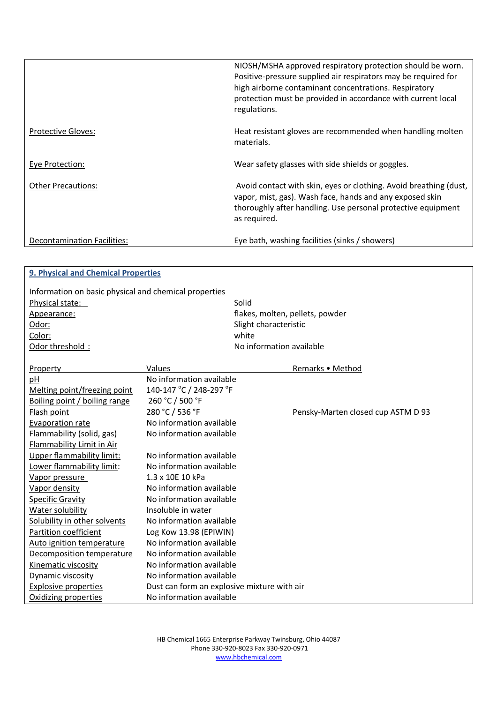|                             | NIOSH/MSHA approved respiratory protection should be worn.<br>Positive-pressure supplied air respirators may be required for<br>high airborne contaminant concentrations. Respiratory<br>protection must be provided in accordance with current local<br>regulations. |
|-----------------------------|-----------------------------------------------------------------------------------------------------------------------------------------------------------------------------------------------------------------------------------------------------------------------|
| <b>Protective Gloves:</b>   | Heat resistant gloves are recommended when handling molten<br>materials.                                                                                                                                                                                              |
| Eye Protection:             | Wear safety glasses with side shields or goggles.                                                                                                                                                                                                                     |
| <b>Other Precautions:</b>   | Avoid contact with skin, eyes or clothing. Avoid breathing (dust,<br>vapor, mist, gas). Wash face, hands and any exposed skin<br>thoroughly after handling. Use personal protective equipment<br>as required.                                                         |
| Decontamination Facilities: | Eye bath, washing facilities (sinks / showers)                                                                                                                                                                                                                        |

| 9. Physical and Chemical Properties                   |                                             |                                    |
|-------------------------------------------------------|---------------------------------------------|------------------------------------|
| Information on basic physical and chemical properties |                                             |                                    |
| Physical state:                                       |                                             | Solid                              |
| Appearance:                                           |                                             | flakes, molten, pellets, powder    |
| Odor:                                                 |                                             | Slight characteristic              |
| Color:                                                |                                             | white                              |
| Odor threshold:                                       |                                             | No information available           |
|                                                       |                                             |                                    |
| Property                                              | Values                                      | Remarks • Method                   |
| pH                                                    | No information available                    |                                    |
| Melting point/freezing point                          | 140-147 °C / 248-297 °F                     |                                    |
| Boiling point / boiling range                         | 260 °C / 500 °F                             |                                    |
| Flash point                                           | 280 °C / 536 °F                             | Pensky-Marten closed cup ASTM D 93 |
| <b>Evaporation rate</b>                               | No information available                    |                                    |
| Flammability (solid, gas)                             | No information available                    |                                    |
| Flammability Limit in Air                             |                                             |                                    |
| Upper flammability limit:                             | No information available                    |                                    |
| Lower flammability limit:                             | No information available                    |                                    |
| Vapor pressure                                        | 1.3 x 10E 10 kPa                            |                                    |
| Vapor density                                         | No information available                    |                                    |
| <b>Specific Gravity</b>                               | No information available                    |                                    |
| Water solubility                                      | Insoluble in water                          |                                    |
| Solubility in other solvents                          | No information available                    |                                    |
| Partition coefficient                                 | Log Kow 13.98 (EPIWIN)                      |                                    |
| Auto ignition temperature                             | No information available                    |                                    |
| Decomposition temperature                             | No information available                    |                                    |
| Kinematic viscosity                                   | No information available                    |                                    |
| Dynamic viscosity                                     | No information available                    |                                    |
| <b>Explosive properties</b>                           | Dust can form an explosive mixture with air |                                    |
| Oxidizing properties                                  | No information available                    |                                    |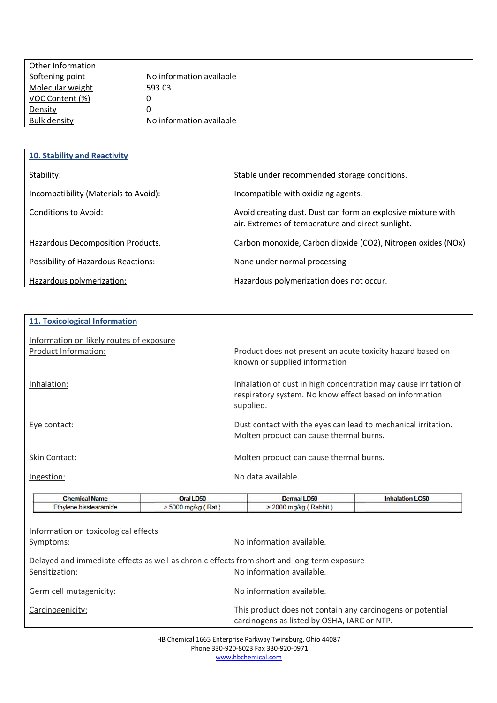| Other Information   |                          |
|---------------------|--------------------------|
| Softening point     | No information available |
| Molecular weight    | 593.03                   |
| VOC Content (%)     | O                        |
| Density             | O                        |
| <b>Bulk density</b> | No information available |
|                     |                          |

| 10. Stability and Reactivity          |                                                                                                                   |
|---------------------------------------|-------------------------------------------------------------------------------------------------------------------|
| Stability:                            | Stable under recommended storage conditions.                                                                      |
| Incompatibility (Materials to Avoid): | Incompatible with oxidizing agents.                                                                               |
| Conditions to Avoid:                  | Avoid creating dust. Dust can form an explosive mixture with<br>air. Extremes of temperature and direct sunlight. |
| Hazardous Decomposition Products.     | Carbon monoxide, Carbon dioxide (CO2), Nitrogen oxides (NOx)                                                      |
| Possibility of Hazardous Reactions:   | None under normal processing                                                                                      |
| Hazardous polymerization:             | Hazardous polymerization does not occur.                                                                          |

| 11. Toxicological Information                    |                 |                                                                                                                                          |                                   |  |
|--------------------------------------------------|-----------------|------------------------------------------------------------------------------------------------------------------------------------------|-----------------------------------|--|
| Information on likely routes of exposure         |                 |                                                                                                                                          |                                   |  |
| Product Information:                             |                 | Product does not present an acute toxicity hazard based on<br>known or supplied information                                              |                                   |  |
| Inhalation:                                      |                 | Inhalation of dust in high concentration may cause irritation of<br>respiratory system. No know effect based on information<br>supplied. |                                   |  |
| Eye contact:                                     |                 | Dust contact with the eyes can lead to mechanical irritation.<br>Molten product can cause thermal burns.                                 |                                   |  |
| Skin Contact:                                    |                 | Molten product can cause thermal burns.                                                                                                  |                                   |  |
| Ingestion:                                       |                 | No data available.                                                                                                                       |                                   |  |
| <b>Address of the Committee of the Committee</b> | $A = 11 B + 12$ | <b>CONTRACTOR</b>                                                                                                                        | <b>Latin Charles Co. L. March</b> |  |

| <b>Chemical Name</b>                              | Oral LD50            | Dermal LD50                                                                                                             | <b>Inhalation LC50</b> |  |
|---------------------------------------------------|----------------------|-------------------------------------------------------------------------------------------------------------------------|------------------------|--|
| Ethylene bisstearamide                            | $> 5000$ mg/kg (Rat) | $>$ 2000 mg/kg (Rabbit)                                                                                                 |                        |  |
| Information on toxicological effects<br>Symptoms: |                      | No information available.                                                                                               |                        |  |
| Sensitization:                                    |                      | Delayed and immediate effects as well as chronic effects from short and long-term exposure<br>No information available. |                        |  |
| Germ cell mutagenicity:                           |                      | No information available.                                                                                               |                        |  |
| Carcinogenicity:                                  |                      | This product does not contain any carcinogens or potential<br>carcinogens as listed by OSHA, IARC or NTP.               |                        |  |

HB Chemical 1665 Enterprise Parkway Twinsburg, Ohio 44087 Phone 330-920-8023 Fax 330-920-0971 www.hbchemical.com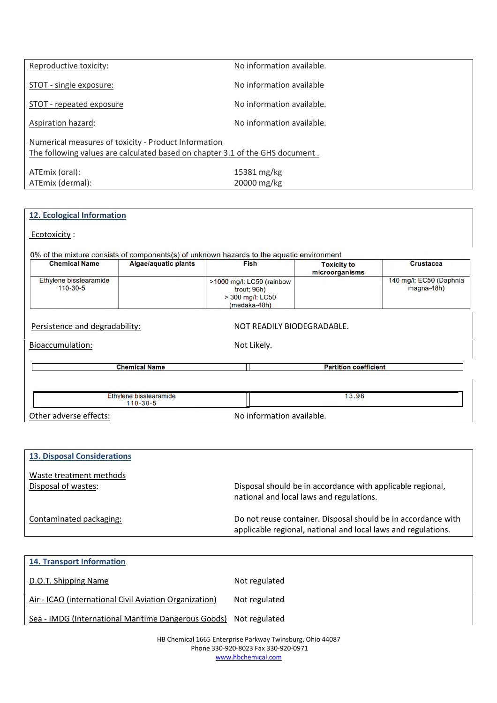| Reproductive toxicity:                                                        | No information available. |  |  |
|-------------------------------------------------------------------------------|---------------------------|--|--|
|                                                                               |                           |  |  |
| STOT - single exposure:                                                       | No information available  |  |  |
|                                                                               |                           |  |  |
| STOT - repeated exposure                                                      | No information available. |  |  |
|                                                                               |                           |  |  |
|                                                                               | No information available. |  |  |
| Aspiration hazard:                                                            |                           |  |  |
|                                                                               |                           |  |  |
| Numerical measures of toxicity - Product Information                          |                           |  |  |
| The following values are calculated based on chapter 3.1 of the GHS document. |                           |  |  |
|                                                                               |                           |  |  |
| ATEmix (oral):                                                                | 15381 mg/kg               |  |  |
|                                                                               |                           |  |  |
| ATEmix (dermal):                                                              | 20000 mg/kg               |  |  |

| 12. Ecological Information         |                                          |                                                                                           |                                      |                                         |
|------------------------------------|------------------------------------------|-------------------------------------------------------------------------------------------|--------------------------------------|-----------------------------------------|
| Ecotoxicity:                       |                                          |                                                                                           |                                      |                                         |
|                                    |                                          | 0% of the mixture consists of components(s) of unknown hazards to the aquatic environment |                                      |                                         |
| <b>Chemical Name</b>               | <b>Algae/aquatic plants</b>              | <b>Fish</b>                                                                               | <b>Toxicity to</b><br>microorganisms | <b>Crustacea</b>                        |
| Ethylene bisstearamide<br>110-30-5 |                                          | >1000 mg/l: LC50 (rainbow<br>trout; 96h)<br>> 300 mg/l: LC50<br>(medaka-48h)              |                                      | 140 mg/l: EC50 (Daphnia<br>$magna-48h)$ |
| Persistence and degradability:     |                                          | NOT READILY BIODEGRADABLE.                                                                |                                      |                                         |
| Bioaccumulation:                   |                                          | Not Likely.                                                                               |                                      |                                         |
|                                    | <b>Chemical Name</b>                     |                                                                                           | <b>Partition coefficient</b>         |                                         |
|                                    |                                          |                                                                                           |                                      |                                         |
|                                    | Ethylene bisstearamide<br>$110 - 30 - 5$ |                                                                                           | 13.98                                |                                         |
| Other adverse effects:             |                                          | No information available.                                                                 |                                      |                                         |

| <b>13. Disposal Considerations</b>             |                                                                                                                                |
|------------------------------------------------|--------------------------------------------------------------------------------------------------------------------------------|
| Waste treatment methods<br>Disposal of wastes: | Disposal should be in accordance with applicable regional,<br>national and local laws and regulations.                         |
| Contaminated packaging:                        | Do not reuse container. Disposal should be in accordance with<br>applicable regional, national and local laws and regulations. |

| <b>14. Transport Information</b>                       |               |
|--------------------------------------------------------|---------------|
| D.O.T. Shipping Name                                   | Not regulated |
| Air - ICAO (international Civil Aviation Organization) | Not regulated |
| Sea - IMDG (International Maritime Dangerous Goods)    | Not regulated |

HB Chemical 1665 Enterprise Parkway Twinsburg, Ohio 44087 Phone 330-920-8023 Fax 330-920-0971 www.hbchemical.com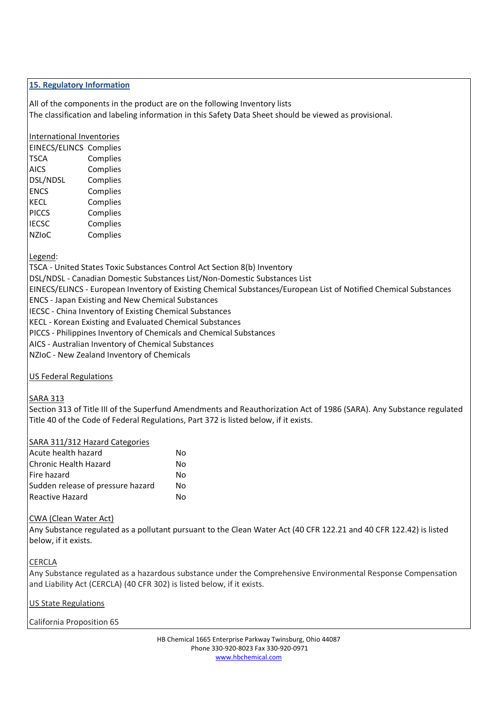## **15. Regulatory Information**

All of the components in the product are on the following Inventory lists The classification and labeling information in this Safety Data Sheet should be viewed as provisional.

## International Inventories

| <b>EINECS/ELINCS Complies</b> |          |
|-------------------------------|----------|
| <b>TSCA</b>                   | Complies |
| <b>AICS</b>                   | Complies |
| DSL/NDSL                      | Complies |
| <b>ENCS</b>                   | Complies |
| <b>KECL</b>                   | Complies |
| <b>PICCS</b>                  | Complies |
| <b>IECSC</b>                  | Complies |
| <b>NZIOC</b>                  | Complies |

Legend:

TSCA - United States Toxic Substances Control Act Section 8(b) Inventory DSL/NDSL - Canadian Domestic Substances List/Non-Domestic Substances List EINECS/ELINCS - European Inventory of Existing Chemical Substances/European List of Notified Chemical Substances ENCS - Japan Existing and New Chemical Substances

IECSC - China Inventory of Existing Chemical Substances

KECL - Korean Existing and Evaluated Chemical Substances

PICCS - Philippines Inventory of Chemicals and Chemical Substances

AICS - Australian Inventory of Chemical Substances

NZIoC - New Zealand Inventory of Chemicals

US Federal Regulations

# SARA 313

Section 313 of Title III of the Superfund Amendments and Reauthorization Act of 1986 (SARA). Any Substance regulated Title 40 of the Code of Federal Regulations, Part 372 is listed below, if it exists.

#### SARA 311/312 Hazard Categories

| Acute health hazard               | Nο |
|-----------------------------------|----|
| Chronic Health Hazard             | Nο |
| Fire hazard                       | Nο |
| Sudden release of pressure hazard | N٥ |
| Reactive Hazard                   | Nο |

#### CWA (Clean Water Act)

Any Substance regulated as a pollutant pursuant to the Clean Water Act (40 CFR 122.21 and 40 CFR 122.42) is listed below, if it exists.

**CERCLA** 

Any Substance regulated as a hazardous substance under the Comprehensive Environmental Response Compensation and Liability Act (CERCLA) (40 CFR 302) is listed below, if it exists.

US State Regulations

California Proposition 65